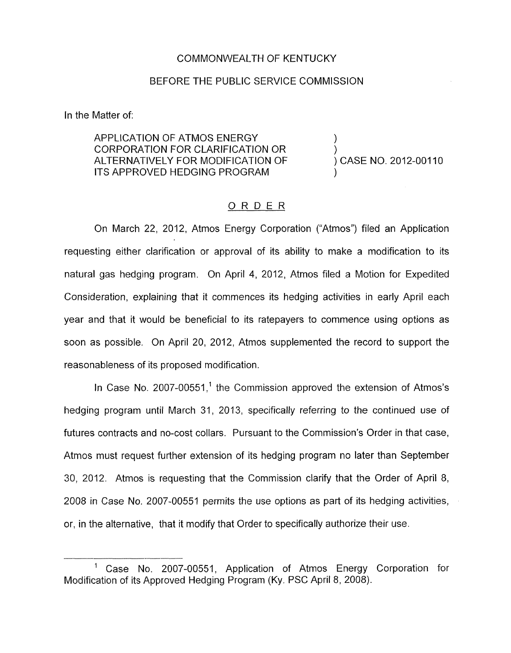## COMMONWEALTH OF KENTUCKY

## BEFORE THE PUBLIC SERVICE COMMISSION

In the Matter of:

APPLICATION OF ATMOS ENERGY ) CORPORATION FOR CLARIFICATION OR ) ALTERNATIVELY FOR MODIFICATION OF ITS APPROVED HEDGING PROGRAM

) CASE NO. 2012-00110

## ORDER

On March 22, 2012, Atmos Energy Corporation ("Atmos") filed an Application requesting either clarification or approval of its ability to make a modification to its natural gas hedging program. On April 4, 2012, Atmos filed a Motion for Expedited Consideration, explaining that it commences its hedging activities in early April each year and that it would be beneficial to its ratepayers to commence using options as soon as possible. On April 20, 2012, Atmos supplemented the record to support the reasonableness of its proposed modification.

In Case No. 2007-00551,<sup>1</sup> the Commission approved the extension of Atmos's hedging program until March 31, 2013, specifically referring to the continued use of futures contracts and no-cost collars. Pursuant to the Commission's Order in that case, Atmos must request further extension of its hedging program no later than September 30, 2012. Atmos is requesting that the Commission clarify that the Order of April 8, 2008 in Case No. 2007-00551 permits the use options as part of its hedging activities, or, in the alternative, that it modify that Order to specifically authorize their use.

<sup>&#</sup>x27; Case No. 2007-00551, Application of Atmos Energy Corporation for Modification of its Approved Hedging Program (Ky. PSC April 8, 2008).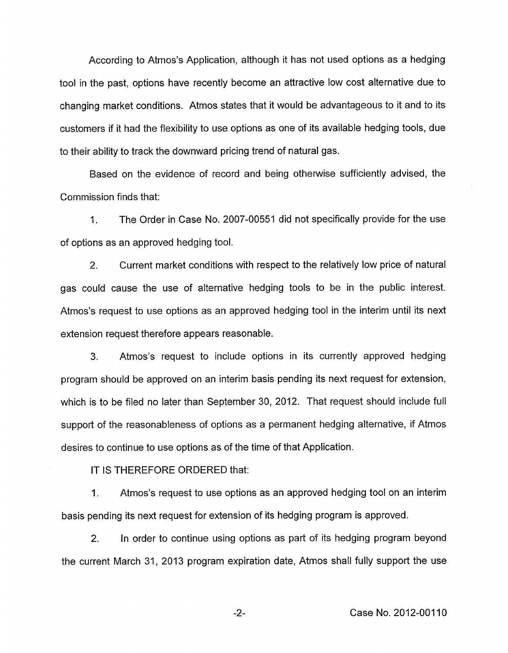According to Atmos's Application, although it has not used options as a hedging tool in the past, options have recently become an attractive low cost alternative due to changing market conditions. Atmos states that it would be advantageous to it and to its customers if it had the flexibility to use options as one of its available hedging tools, due to their ability to track the downward pricing trend of natural gas.

Based on the evidence of record and being otherwise sufficiently advised, the Commission finds that:

1. The Order in Case No. 2007-00551 did not specifically provide for the use of options as an approved hedging tool.

2. Current market conditions with respect to the relatively low price of natural gas could cause the use of alternative hedging tools to be in the public interest. Atmos's request to use options as an approved hedging tool in the interim until its next extension request therefore appears reasonable.

3. Atmos's request to include options in its currently approved hedging program should be approved on an interim basis pending its next request for extension, which is to be filed no later than September 30, 2012. That request should include full support of the reasonableness of options as a permanent hedging alternative, if Atmos desires to continue to use options as of the time of that Application.

IT IS THEREFORE ORDERED that:

1. Atmos's request to use options as an approved hedging tool on an interim basis pending its next request for extension of its hedging program is approved.

2. In order to continue using options as part of its hedging program beyond the current March 31, 2013 program expiration date, Atmos shall fully support the use

-2- Case No. 2012-001 10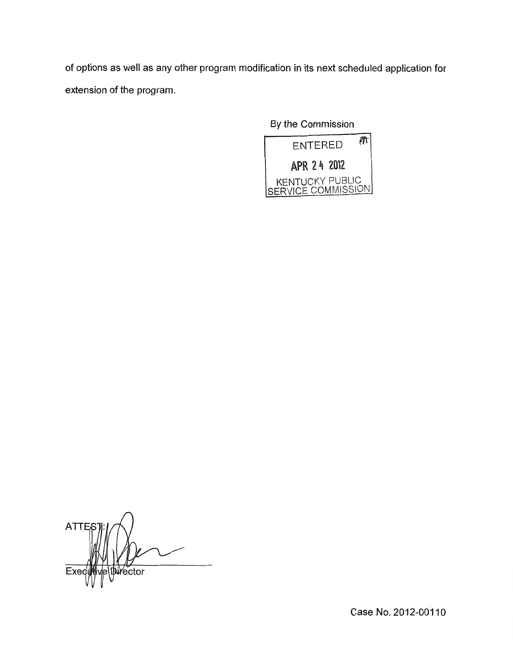of options as well as any other program modification in its next scheduled application for extension of the program.

By the Commission



**ATTE Durector** E)

Case No. 2012-001 10